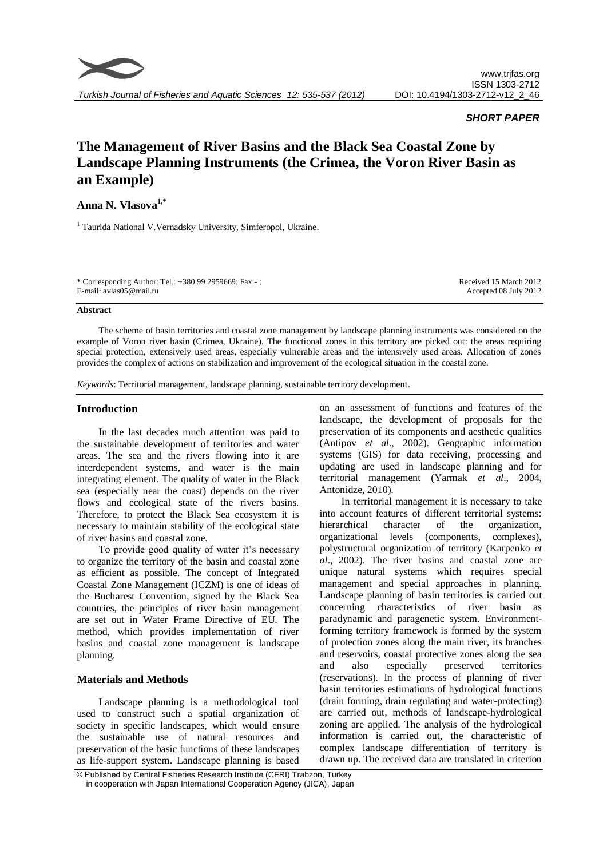

# *SHORT PAPER*

# **The Management of River Basins and the Black Sea Coastal Zone by Landscape Planning Instruments (the Crimea, the Voron River Basin as an Example)**

# **Anna N. Vlasova1,\***

<sup>1</sup> Taurida National V.Vernadsky University, Simferopol, Ukraine.

| * Corresponding Author: Tel.: +380.99 2959669; Fax:-; | Received 15 March 2012 |
|-------------------------------------------------------|------------------------|
| E-mail: avlas05@mail.ru                               | Accepted 08 July 2012  |
|                                                       |                        |

## **Abstract**

The scheme of basin territories and coastal zone management by landscape planning instruments was considered on the example of Voron river basin (Crimea, Ukraine). The functional zones in this territory are picked out: the areas requiring special protection, extensively used areas, especially vulnerable areas and the intensively used areas. Allocation of zones provides the complex of actions on stabilization and improvement of the ecological situation in the coastal zone.

*Keywords*: Territorial management, landscape planning, sustainable territory development.

# **Introduction**

In the last decades much attention was paid to the sustainable development of territories and water areas. The sea and the rivers flowing into it are interdependent systems, and water is the main integrating element. The quality of water in the Black sea (especially near the coast) depends on the river flows and ecological state of the rivers basins. Therefore, to protect the Black Sea ecosystem it is necessary to maintain stability of the ecological state of river basins and coastal zone.

To provide good quality of water it's necessary to organize the territory of the basin and coastal zone as efficient as possible. The concept of Integrated Coastal Zone Management (ICZM) is one of ideas of the Bucharest Convention, signed by the Black Sea countries, the principles of river basin management are set out in Water Frame Directive of EU. The method, which provides implementation of river basins and coastal zone management is landscape planning.

# **Materials and Methods**

Landscape planning is a methodological tool used to construct such a spatial organization of society in specific landscapes, which would ensure the sustainable use of natural resources and preservation of the basic functions of these landscapes as life-support system. Landscape planning is based on an assessment of functions and features of the landscape, the development of proposals for the preservation of its components and aesthetic qualities (Antipov *et al*., 2002). Geographic information systems (GIS) for data receiving, processing and updating are used in landscape planning and for territorial management (Yarmak *et al*., 2004, Antonidze, 2010).

In territorial management it is necessary to take into account features of different territorial systems: hierarchical character of the organization, organizational levels (components, complexes), polystructural organization of territory (Karpenko *et al*., 2002). The river basins and coastal zone are unique natural systems which requires special management and special approaches in planning. Landscape planning of basin territories is carried out concerning characteristics of river basin as paradynamic and paragenetic system. Environmentforming territory framework is formed by the system of protection zones along the main river, its branches and reservoirs, coastal protective zones along the sea and also especially preserved territories (reservations). In the process of planning of river basin territories estimations of hydrological functions (drain forming, drain regulating and water-protecting) are carried out, methods of landscape-hydrological zoning are applied. The analysis of the hydrological information is carried out, the characteristic of complex landscape differentiation of territory is drawn up. The received data are translated in criterion

<sup>©</sup> Published by Central Fisheries Research Institute (CFRI) Trabzon, Turkey in cooperation with Japan International Cooperation Agency (JICA), Japan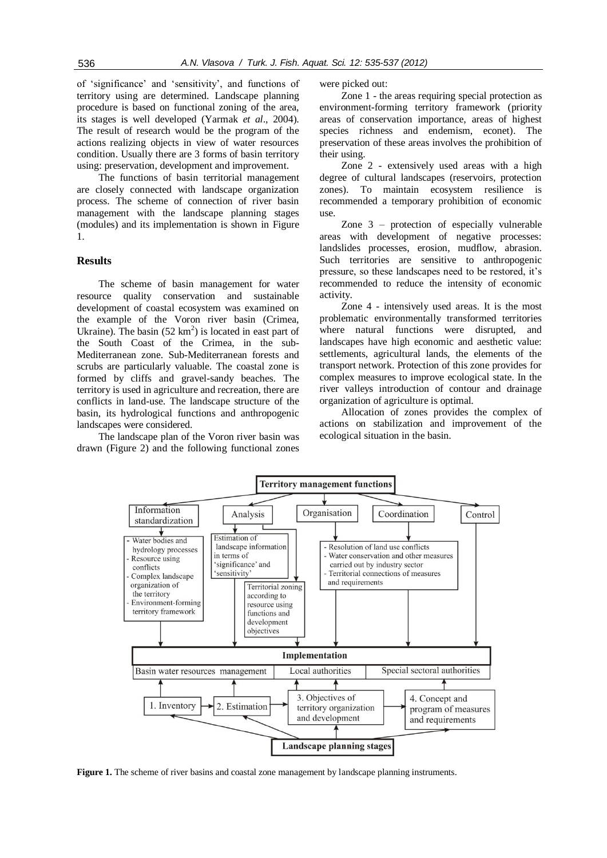of 'significance' and 'sensitivity', and functions of territory using are determined. Landscape planning procedure is based on functional zoning of the area, its stages is well developed (Yarmak *et al*., 2004). The result of research would be the program of the actions realizing objects in view of water resources condition. Usually there are 3 forms of basin territory using: preservation, development and improvement.

The functions of basin territorial management are closely connected with landscape organization process. The scheme of connection of river basin management with the landscape planning stages (modules) and its implementation is shown in Figure 1.

# **Results**

The scheme of basin management for water resource quality conservation and sustainable development of coastal ecosystem was examined on the example of the Voron river basin (Crimea, Ukraine). The basin  $(52 \text{ km}^2)$  is located in east part of the South Coast of the Crimea, in the sub-Mediterranean zone. Sub-Mediterranean forests and scrubs are particularly valuable. The coastal zone is formed by cliffs and gravel-sandy beaches. The territory is used in agriculture and recreation, there are conflicts in land-use. The landscape structure of the basin, its hydrological functions and anthropogenic landscapes were considered.

The landscape plan of the Voron river basin was drawn (Figure 2) and the following functional zones

were picked out:

Zone 1 - the areas requiring special protection as environment-forming territory framework (priority areas of conservation importance, areas of highest species richness and endemism, econet). The preservation of these areas involves the prohibition of their using.

Zone 2 - extensively used areas with a high degree of cultural landscapes (reservoirs, protection zones). To maintain ecosystem resilience is recommended a temporary prohibition of economic use.

Zone 3 – protection of especially vulnerable areas with development of negative processes: landslides processes, erosion, mudflow, abrasion. Such territories are sensitive to anthropogenic pressure, so these landscapes need to be restored, it's recommended to reduce the intensity of economic activity.

Zone 4 - intensively used areas. It is the most problematic environmentally transformed territories where natural functions were disrupted, and landscapes have high economic and aesthetic value: settlements, agricultural lands, the elements of the transport network. Protection of this zone provides for complex measures to improve ecological state. In the river valleys introduction of contour and drainage organization of agriculture is optimal.

Allocation of zones provides the complex of actions on stabilization and improvement of the ecological situation in the basin.



**Figure 1.** The scheme of river basins and coastal zone management by landscape planning instruments.